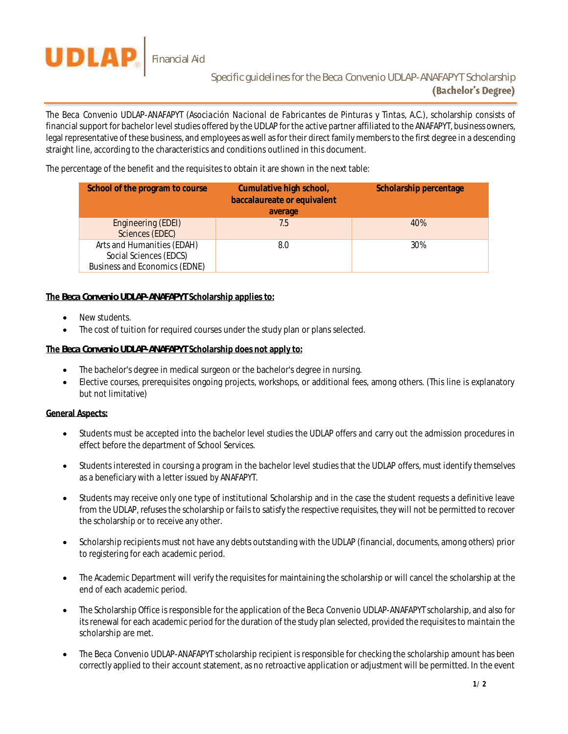

The *Beca Convenio UDLAP-ANAFAPYT (Asociación Nacional de Fabricantes de Pinturas y Tintas, A.C.),* scholarship consists of financial support for bachelor level studies offered by the UDLAP for the active partner affiliated to the ANAFAPYT, business owners, legal representative of these business, and employees as well as for their direct family members to the first degree in a descending straight line, according to the characteristics and conditions outlined in this document.

The percentage of the benefit and the requisites to obtain it are shown in the next table:

| School of the program to course                                                       | Cumulative high school,<br>baccalaureate or equivalent<br>average | Scholarship percentage |
|---------------------------------------------------------------------------------------|-------------------------------------------------------------------|------------------------|
| Engineering (EDEI)<br>Sciences (EDEC)                                                 | 7.5                                                               | 40%                    |
| Arts and Humanities (EDAH)<br>Social Sciences (EDCS)<br>Business and Economics (EDNE) | 8.0                                                               | 30%                    |

## **The** *Beca Convenio UDLAP-ANAFAPYT* **Scholarship applies to:**

- New students.
- The cost of tuition for required courses under the study plan or plans selected.

## **The** *Beca Convenio UDLAP-ANAFAPYT* **Scholarship does not apply to:**

- The bachelor's degree in medical surgeon or the bachelor's degree in nursing.
- Elective courses, prerequisites ongoing projects, workshops, or additional fees, among others. (This line is explanatory but not limitative)

## **General Aspects:**

- Students must be accepted into the bachelor level studies the UDLAP offers and carry out the admission procedures in effect before the department of School Services.
- Students interested in coursing a program in the bachelor level studies that the UDLAP offers, must identify themselves as a beneficiary with a letter issued by ANAFAPYT.
- Students may receive only one type of institutional Scholarship and in the case the student requests a definitive leave from the UDLAP, refuses the scholarship or fails to satisfy the respective requisites, they will not be permitted to recover the scholarship or to receive any other.
- Scholarship recipients must not have any debts outstanding with the UDLAP (financial, documents, among others) prior to registering for each academic period.
- The Academic Department will verify the requisites for maintaining the scholarship or will cancel the scholarship at the end of each academic period.
- The Scholarship Office is responsible for the application of the *Beca Convenio UDLAP-ANAFAPYT* scholarship, and also for its renewal for each academic period for the duration of the study plan selected, provided the requisites to maintain the scholarship are met.
- The *Beca Convenio UDLAP-ANAFAPYT* scholarship recipient is responsible for checking the scholarship amount has been correctly applied to their account statement, as no retroactive application or adjustment will be permitted. In the event